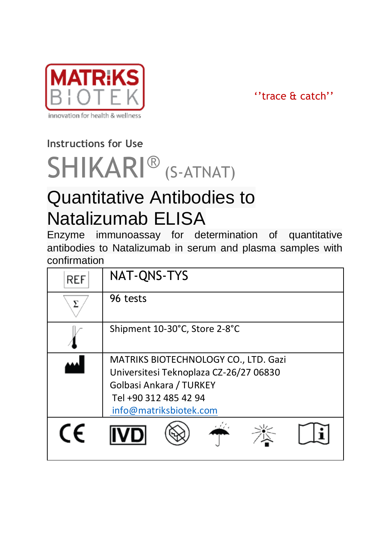

''trace & catch''

# **Instructions for Use**

# SHIKARI<sup>®</sup> (S-ATNAT)

# Quantitative Antibodies to Natalizumab ELISA

Enzyme immunoassay for determination of quantitative antibodies to Natalizumab in serum and plasma samples with confirmation

| REF | NAT-QNS-TYS                                                                                                                                                  |
|-----|--------------------------------------------------------------------------------------------------------------------------------------------------------------|
|     | 96 tests                                                                                                                                                     |
|     | Shipment 10-30°C, Store 2-8°C                                                                                                                                |
|     | MATRIKS BIOTECHNOLOGY CO., LTD. Gazi<br>Universitesi Teknoplaza CZ-26/27 06830<br>Golbasi Ankara / TURKEY<br>Tel +90 312 485 42 94<br>info@matriksbiotek.com |
|     |                                                                                                                                                              |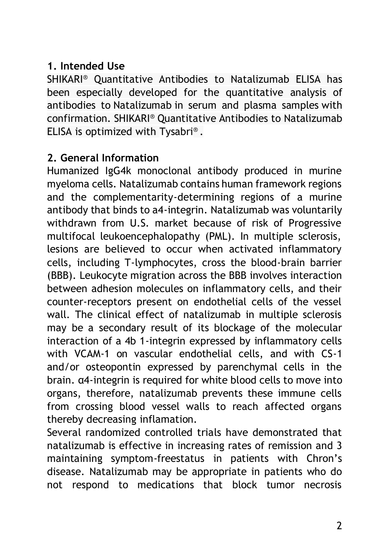# **1. Intended Use**

SHIKARI® Quantitative Antibodies to Natalizumab ELISA has been especially developed for the quantitative analysis of antibodies to Natalizumab in serum and plasma samples with confirmation. SHIKARI® Quantitative Antibodies to Natalizumab ELISA is optimized with Tysabri® .

# **2. General Information**

Humanized IgG4k monoclonal antibody produced in murine myeloma cells. Natalizumab contains human framework regions and the complementarity-determining regions of a murine antibody that binds to a4-integrin. Natalizumab was voluntarily withdrawn from U.S. market because of risk of Progressive multifocal leukoencephalopathy (PML). In multiple sclerosis, lesions are believed to occur when activated inflammatory cells, including T-lymphocytes, cross the blood-brain barrier (BBB). Leukocyte migration across the BBB involves interaction between adhesion molecules on inflammatory cells, and their counter-receptors present on endothelial cells of the vessel wall. The clinical effect of natalizumab in multiple sclerosis may be a secondary result of its blockage of the molecular interaction of a 4b 1-integrin expressed by inflammatory cells with VCAM-1 on vascular endothelial cells, and with CS-1 and/or osteopontin expressed by parenchymal cells in the brain. α4-integrin is required for white blood cells to move into organs, therefore, natalizumab prevents these immune cells from crossing blood vessel walls to reach affected organs thereby decreasing inflamation.

Several randomized controlled trials have demonstrated that natalizumab is effective in increasing rates of remission and 3 maintaining symptom-freestatus in patients with Chron's disease. Natalizumab may be appropriate in patients who do not respond to medications that block tumor necrosis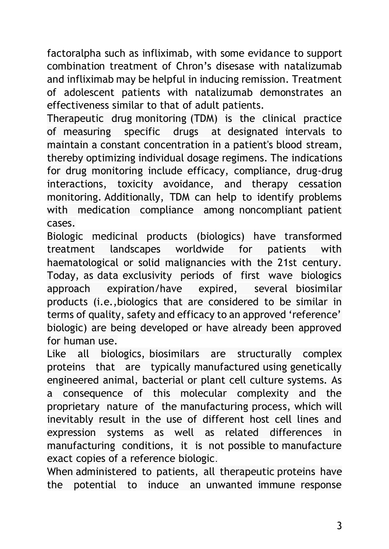factoralpha such as infliximab, with some evidance to support combination treatment of Chron's disesase with natalizumab and infliximab may be helpful in inducing remission. Treatment of adolescent patients with natalizumab demonstrates an effectiveness similar to that of adult patients.

Therapeutic drug monitoring (TDM) is the clinical practice of measuring specific drugs at designated intervals to maintain a constant concentration in a patient's blood stream, thereby optimizing individual dosage regimens. The indications for drug monitoring include efficacy, compliance, drug-drug interactions, toxicity avoidance, and therapy cessation monitoring. Additionally, TDM can help to identify problems with medication compliance among noncompliant patient cases.

Biologic medicinal products (biologics) have transformed treatment landscapes worldwide for patients with haematological or solid malignancies with the 21st century. Today, as data exclusivity periods of first wave biologics approach expiration/have expired, several biosimilar products (i.e.,biologics that are considered to be similar in terms of quality, safety and efficacy to an approved 'reference' biologic) are being developed or have already been approved for human use.

Like all biologics, biosimilars are structurally complex proteins that are typically manufactured using genetically engineered animal, bacterial or plant cell culture systems. As a consequence of this molecular complexity and the proprietary nature of the manufacturing process, which will inevitably result in the use of different host cell lines and expression systems as well as related differences in manufacturing conditions, it is not possible to manufacture exact copies of a reference biologic.

When administered to patients, all therapeutic proteins have the potential to induce an unwanted immune response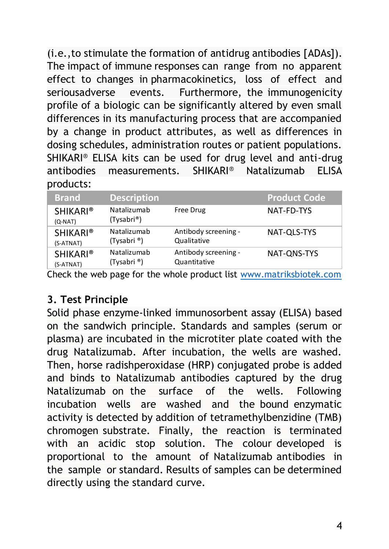(i.e.,to stimulate the formation of antidrug antibodies [ADAs]). The impact of immune responses can range from no apparent effect to changes in pharmacokinetics, loss of effect and seriousadverse events. Furthermore, the immunogenicity profile of a biologic can be significantly altered by even small differences in its manufacturing process that are accompanied by a change in product attributes, as well as differences in dosing schedules, administration routes or patient populations. SHIKARI® ELISA kits can be used for drug level and anti-drug antibodies measurements. SHIKARI® Natalizumab ELISA products:

| <b>Brand</b>                 | <b>Description</b>        |                      | <b>Product Code</b> |
|------------------------------|---------------------------|----------------------|---------------------|
| <b>SHIKARI®</b><br>$(Q-NAT)$ | Natalizumab<br>(Tysabri®) | Free Drug            | NAT-FD-TYS          |
| <b>SHIKARI®</b>              | Natalizumab               | Antibody screening - | NAT-OLS-TYS         |
| (S-ATNAT)                    | (Tysabri <sup>®</sup> )   | Qualitative          |                     |
| <b>SHIKARI®</b>              | Natalizumab               | Antibody screening - | NAT-ONS-TYS         |
| (S-ATNAT)                    | (Tysabri <sup>®</sup> )   | Quantitative         |                     |

Check the web page for the whole product list [www.matriksbiotek.com](file:///C:/Users/Matrix/Documents/www.matriksbiotek.com)

#### **3. Test Principle**

Solid phase enzyme-linked immunosorbent assay (ELISA) based on the sandwich principle. Standards and samples (serum or plasma) are incubated in the microtiter plate coated with the drug Natalizumab. After incubation, the wells are washed. Then, horse radishperoxidase (HRP) conjugated probe is added and binds to Natalizumab antibodies captured by the drug Natalizumab on the surface of the wells. Following incubation wells are washed and the bound enzymatic activity is detected by addition of tetramethylbenzidine (TMB) chromogen substrate. Finally, the reaction is terminated with an acidic stop solution. The colour developed is proportional to the amount of Natalizumab antibodies in the sample or standard. Results of samples can be determined directly using the standard curve.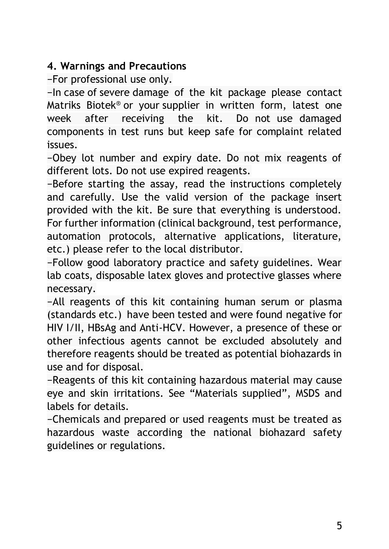# **4. Warnings and Precautions**

−For professional use only.

−In case of severe damage of the kit package please contact Matriks Biotek® or your supplier in written form, latest one week after receiving the kit. Do not use damaged components in test runs but keep safe for complaint related issues.

−Obey lot number and expiry date. Do not mix reagents of different lots. Do not use expired reagents.

−Before starting the assay, read the instructions completely and carefully. Use the valid version of the package insert provided with the kit. Be sure that everything is understood. For further information (clinical background, test performance, automation protocols, alternative applications, literature, etc.) please refer to the local distributor.

−Follow good laboratory practice and safety guidelines. Wear lab coats, disposable latex gloves and protective glasses where necessary.

−All reagents of this kit containing human serum or plasma (standards etc.) have been tested and were found negative for HIV I/II, HBsAg and Anti-HCV. However, a presence of these or other infectious agents cannot be excluded absolutely and therefore reagents should be treated as potential biohazards in use and for disposal.

−Reagents of this kit containing hazardous material may cause eye and skin irritations. See "Materials supplied", MSDS and labels for details.

−Chemicals and prepared or used reagents must be treated as hazardous waste according the national biohazard safety guidelines or regulations.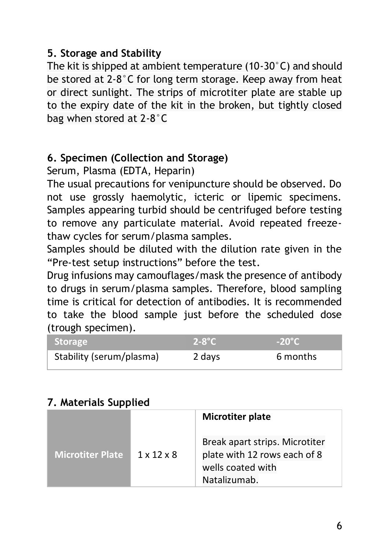### **5. Storage and Stability**

The kit is shipped at ambient temperature (10-30°C) and should be stored at 2-8°C for long term storage. Keep away from heat or direct sunlight. The strips of microtiter plate are stable up to the expiry date of the kit in the broken, but tightly closed bag when stored at 2-8°C

# **6. Specimen (Collection and Storage)**

Serum, Plasma (EDTA, Heparin)

The usual precautions for venipuncture should be observed. Do not use grossly haemolytic, icteric or lipemic specimens. Samples appearing turbid should be centrifuged before testing to remove any particulate material. Avoid repeated freezethaw cycles for serum/plasma samples.

Samples should be diluted with the dilution rate given in the "Pre-test setup instructions" before the test.

Drug infusions may camouflages/mask the presence of antibody to drugs in serum/plasma samples. Therefore, blood sampling time is critical for detection of antibodies. It is recommended to take the blood sample just before the scheduled dose (trough specimen).

| <b>Storage</b>           | $2-8^{\circ}C$ | $-20^{\circ}$ C |
|--------------------------|----------------|-----------------|
| Stability (serum/plasma) | 2 days         | 6 months        |

# **7. Materials Supplied**

|                  |                        | Microtiter plate                                                                                    |
|------------------|------------------------|-----------------------------------------------------------------------------------------------------|
| Microtiter Plate | $1 \times 12 \times 8$ | Break apart strips. Microtiter<br>plate with 12 rows each of 8<br>wells coated with<br>Natalizumab. |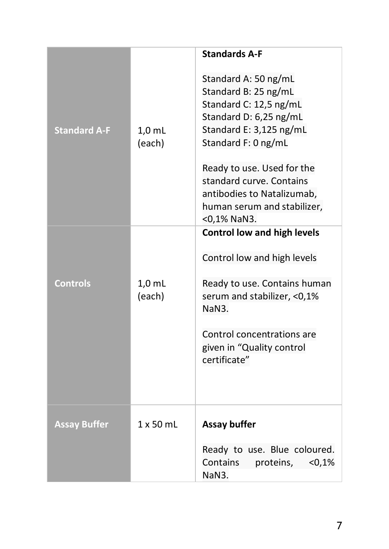|                     |                    | <b>Standards A-F</b>                                                                                                                               |
|---------------------|--------------------|----------------------------------------------------------------------------------------------------------------------------------------------------|
| <b>Standard A-F</b> | $1,0$ mL<br>(each) | Standard A: 50 ng/mL<br>Standard B: 25 ng/mL<br>Standard C: 12,5 ng/mL<br>Standard D: 6,25 ng/mL<br>Standard E: 3,125 ng/mL<br>Standard F: 0 ng/mL |
|                     |                    | Ready to use. Used for the<br>standard curve. Contains<br>antibodies to Natalizumab,<br>human serum and stabilizer,<br><0,1% NaN3.                 |
|                     |                    | Control low and high levels                                                                                                                        |
|                     |                    | Control low and high levels                                                                                                                        |
| <b>Controls</b>     | $1,0$ mL<br>(each) | Ready to use. Contains human<br>serum and stabilizer, <0,1%<br>NaN3.                                                                               |
|                     |                    | Control concentrations are<br>given in "Quality control<br>certificate"                                                                            |
| <b>Assay Buffer</b> | $1 \times 50$ ml   | Assay buffer                                                                                                                                       |
|                     |                    | Ready to use. Blue coloured.<br>Contains<br>proteins,<br>< 0.1%<br>NaN3.                                                                           |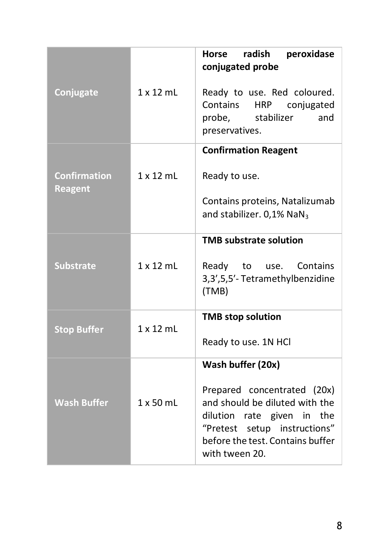|                                |                  | radish<br>Horse<br>peroxidase                                    |
|--------------------------------|------------------|------------------------------------------------------------------|
|                                |                  | conjugated probe                                                 |
| Conjugate                      | $1 \times 12$ ml | Ready to use. Red coloured.                                      |
|                                |                  | Contains HRP<br>conjugated<br>stabilizer<br>and<br>probe,        |
|                                |                  | preservatives.                                                   |
|                                |                  | <b>Confirmation Reagent</b>                                      |
| <b>Confirmation</b><br>Reagent | $1 \times 12$ mL | Ready to use.                                                    |
|                                |                  | Contains proteins, Natalizumab                                   |
|                                |                  | and stabilizer. 0,1% NaN <sub>3</sub>                            |
|                                |                  | <b>TMB substrate solution</b>                                    |
| <b>Substrate</b>               | $1 \times 12$ mL | Ready to use. Contains                                           |
|                                |                  | 3,3',5,5'-Tetramethylbenzidine<br>(TMB)                          |
|                                |                  |                                                                  |
| <b>Stop Buffer</b>             | 1x12mL           | <b>TMB stop solution</b>                                         |
|                                |                  | Ready to use. 1N HCI                                             |
|                                |                  | Wash buffer (20x)                                                |
|                                |                  | Prepared concentrated (20x)                                      |
| <b>Wash Buffer</b>             | $1 \times 50$ mL | and should be diluted with the<br>dilution rate given in the     |
|                                |                  | "Pretest setup instructions"<br>before the test. Contains buffer |
|                                |                  | with tween 20.                                                   |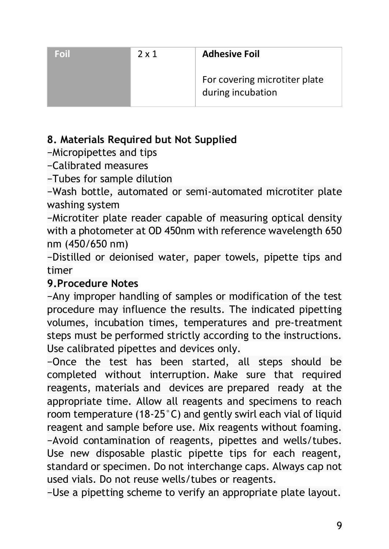| Foil | 2 x 1 | <b>Adhesive Foil</b>                               |
|------|-------|----------------------------------------------------|
|      |       | For covering microtiter plate<br>during incubation |

# **8. Materials Required but Not Supplied**

−Micropipettes and tips

−Calibrated measures

−Tubes for sample dilution

−Wash bottle, automated or semi-automated microtiter plate washing system

−Microtiter plate reader capable of measuring optical density with a photometer at OD 450nm with reference wavelength 650 nm (450/650 nm)

−Distilled or deionised water, paper towels, pipette tips and timer

# **9.Procedure Notes**

−Any improper handling of samples or modification of the test procedure may influence the results. The indicated pipetting volumes, incubation times, temperatures and pre-treatment steps must be performed strictly according to the instructions. Use calibrated pipettes and devices only.

−Once the test has been started, all steps should be completed without interruption. Make sure that required reagents, materials and devices are prepared ready at the appropriate time. Allow all reagents and specimens to reach room temperature (18-25°C) and gently swirl each vial of liquid reagent and sample before use. Mix reagents without foaming. −Avoid contamination of reagents, pipettes and wells/tubes. Use new disposable plastic pipette tips for each reagent, standard or specimen. Do not interchange caps. Always cap not used vials. Do not reuse wells/tubes or reagents.

−Use a pipetting scheme to verify an appropriate plate layout.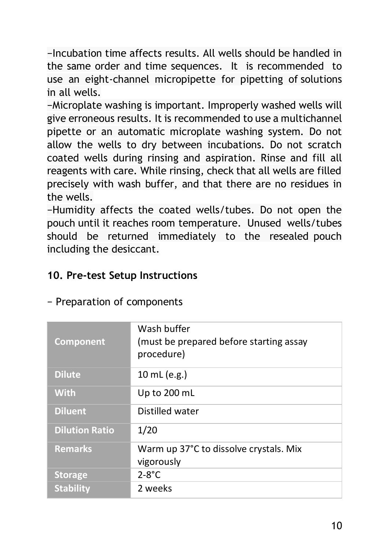−Incubation time affects results. All wells should be handled in the same order and time sequences. It is recommended to use an eight-channel micropipette for pipetting of solutions in all wells.

−Microplate washing is important. Improperly washed wells will give erroneous results. It is recommended to use a multichannel pipette or an automatic microplate washing system. Do not allow the wells to dry between incubations. Do not scratch coated wells during rinsing and aspiration. Rinse and fill all reagents with care. While rinsing, check that all wells are filled precisely with wash buffer, and that there are no residues in the wells.

−Humidity affects the coated wells/tubes. Do not open the pouch until it reaches room temperature. Unused wells/tubes should be returned immediately to the resealed pouch including the desiccant.

#### **10. Pre-test Setup Instructions**

| Component             | Wash buffer<br>(must be prepared before starting assay<br>procedure) |
|-----------------------|----------------------------------------------------------------------|
| <b>Dilute</b>         | 10 mL (e.g.)                                                         |
| <b>With</b>           | Up to 200 mL                                                         |
| <b>Diluent</b>        | Distilled water                                                      |
| <b>Dilution Ratio</b> | 1/20                                                                 |
| <b>Remarks</b>        | Warm up 37°C to dissolve crystals. Mix<br>vigorously                 |
| <b>Storage</b>        | $2-8$ °C                                                             |
| <b>Stability</b>      | 2 weeks                                                              |

− Preparation of components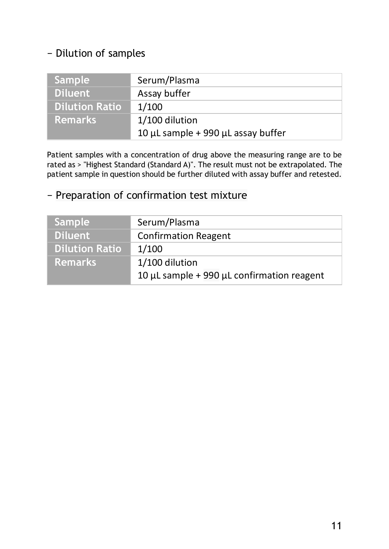#### − Dilution of samples

| Sample                | Serum/Plasma                                 |
|-----------------------|----------------------------------------------|
| <b>Diluent</b>        | Assay buffer                                 |
| <b>Dilution Ratio</b> | 1/100                                        |
| <b>Remarks</b>        | 1/100 dilution                               |
|                       | 10 $\mu$ L sample + 990 $\mu$ L assay buffer |

Patient samples with a concentration of drug above the measuring range are to be rated as > "Highest Standard (Standard A)". The result must not be extrapolated. The patient sample in question should be further diluted with assay buffer and retested.

# − Preparation of confirmation test mixture

| Serum/Plasma                                         |
|------------------------------------------------------|
| <b>Confirmation Reagent</b>                          |
| 1/100                                                |
| 1/100 dilution                                       |
| 10 $\mu$ L sample + 990 $\mu$ L confirmation reagent |
|                                                      |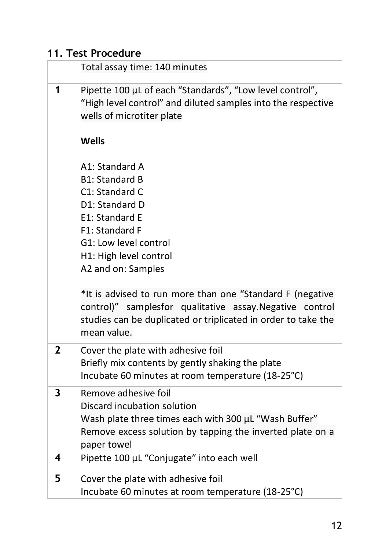# **11. Test Procedure**

|                | Total assay time: 140 minutes                                                                                                                                                                         |
|----------------|-------------------------------------------------------------------------------------------------------------------------------------------------------------------------------------------------------|
| 1              | Pipette 100 µL of each "Standards", "Low level control",<br>"High level control" and diluted samples into the respective<br>wells of microtiter plate                                                 |
|                | Wells                                                                                                                                                                                                 |
|                | A1: Standard A<br><b>B1: Standard B</b><br>C1: Standard C<br>D1: Standard D<br>E1: Standard E<br>F1: Standard F<br>G1: Low level control<br>H1: High level control<br>A2 and on: Samples              |
|                | *It is advised to run more than one "Standard F (negative<br>control)" samplesfor qualitative assay. Negative control<br>studies can be duplicated or triplicated in order to take the<br>mean value. |
| $\overline{2}$ | Cover the plate with adhesive foil<br>Briefly mix contents by gently shaking the plate<br>Incubate 60 minutes at room temperature (18-25°C)                                                           |
| 3              | Remove adhesive foil<br>Discard incubation solution<br>Wash plate three times each with 300 µL "Wash Buffer"<br>Remove excess solution by tapping the inverted plate on a<br>paper towel              |
| 4              | Pipette 100 µL "Conjugate" into each well                                                                                                                                                             |
| 5              | Cover the plate with adhesive foil<br>Incubate 60 minutes at room temperature (18-25°C)                                                                                                               |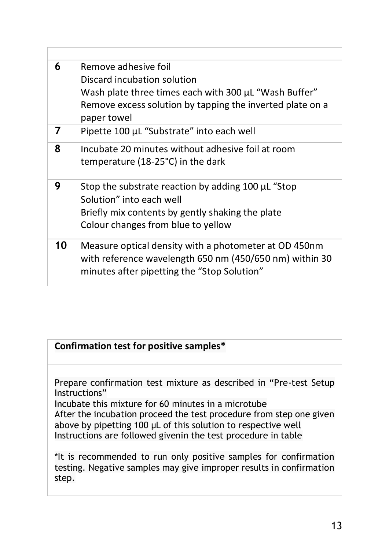| 6  | Remove adhesive foil<br>Discard incubation solution<br>Wash plate three times each with 300 µL "Wash Buffer"<br>Remove excess solution by tapping the inverted plate on a<br>paper towel |
|----|------------------------------------------------------------------------------------------------------------------------------------------------------------------------------------------|
| 7  | Pipette 100 µL "Substrate" into each well                                                                                                                                                |
| 8  | Incubate 20 minutes without adhesive foil at room<br>temperature (18-25°C) in the dark                                                                                                   |
| 9  | Stop the substrate reaction by adding 100 µL "Stop<br>Solution" into each well<br>Briefly mix contents by gently shaking the plate<br>Colour changes from blue to yellow                 |
| 10 | Measure optical density with a photometer at OD 450nm<br>with reference wavelength 650 nm (450/650 nm) within 30<br>minutes after pipetting the "Stop Solution"                          |

#### **Confirmation test for positive samples\***

Prepare confirmation test mixture as described in "Pre-test Setup Instructions"

Incubate this mixture for 60 minutes in a microtube After the incubation proceed the test procedure from step one given above by pipetting 100 μL of this solution to respective well Instructions are followed givenin the test procedure in table

\*It is recommended to run only positive samples for confirmation testing. Negative samples may give improper results in confirmation step.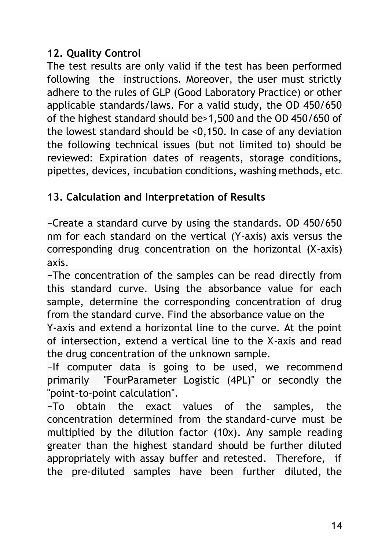#### **12. Quality Control**

The test results are only valid if the test has been performed following the instructions. Moreover, the user must strictly adhere to the rules of GLP (Good Laboratory Practice) or other applicable standards/laws. For a valid study, the OD 450/650 of the highest standard should be>1,500 and the OD 450/650 of the lowest standard should be <0,150. In case of any deviation the following technical issues (but not limited to) should be reviewed: Expiration dates of reagents, storage conditions, pipettes, devices, incubation conditions, washing methods, etc.

# **13. Calculation and Interpretation of Results**

−Create a standard curve by using the standards. OD 450/650 nm for each standard on the vertical (Y-axis) axis versus the corresponding drug concentration on the horizontal (X-axis) axis.

−The concentration of the samples can be read directly from this standard curve. Using the absorbance value for each sample, determine the corresponding concentration of drug from the standard curve. Find the absorbance value on the

Y-axis and extend a horizontal line to the curve. At the point of intersection, extend a vertical line to the X-axis and read the drug concentration of the unknown sample.

−If computer data is going to be used, we recommend primarily "FourParameter Logistic (4PL)" or secondly the "point-to-point calculation".

−To obtain the exact values of the samples, the concentration determined from the standard-curve must be multiplied by the dilution factor (10x). Any sample reading greater than the highest standard should be further diluted appropriately with assay buffer and retested. Therefore, if the pre-diluted samples have been further diluted, the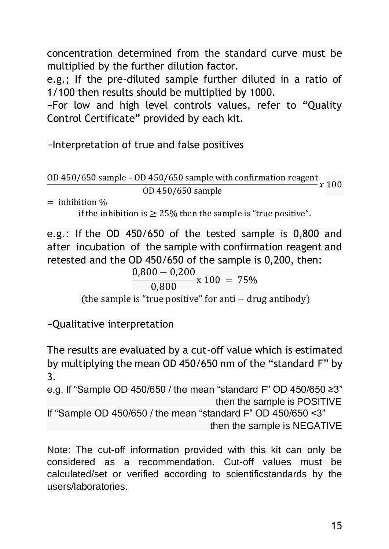concentration determined from the standard curve must be multiplied by the further dilution factor.

e.g.; If the pre-diluted sample further diluted in a ratio of 1/100 then results should be multiplied by 1000.

−For low and high level controls values, refer to "Quality Control Certificate" provided by each kit.

−Interpretation of true and false positives

OD 450/650 sample – OD 450/650 sample with confirmation reagent  $\frac{x}{100}$ 0D 450/650 sample

 $=$  inhibition  $\%$ 

if the inhibition is  $> 25\%$  then the sample is "true positive".

e.g.: If the OD 450/650 of the tested sample is 0,800 and after incubation of the sample with confirmation reagent and retested and the OD 450/650 of the sample is 0,200, then:

 $\frac{0,800 - 0,200}{0,800}$  x 100 = 75%

(the sample is "true positive" for anti − drug antibody)

−Qualitative interpretation

The results are evaluated by a cut-off value which is estimated by multiplying the mean OD 450/650 nm of the "standard F" by 3.

e.g. If "Sample OD 450/650 / the mean "standard F" OD 450/650 ≥3" then the sample is POSITIVE

If "Sample OD 450/650 / the mean "standard F" OD 450/650 <3" then the sample is NEGATIVE

Note: The cut-off information provided with this kit can only be considered as a recommendation. Cut-off values must be calculated/set or verified according to scientificstandards by the users/laboratories.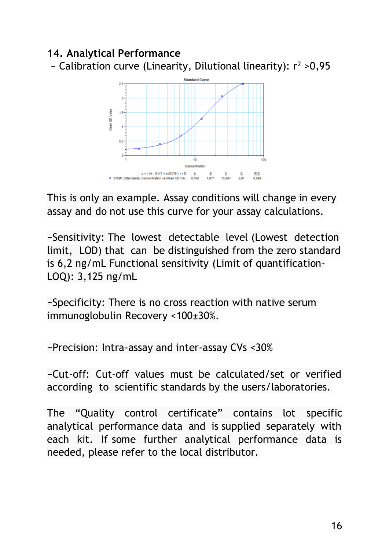#### **14. Analytical Performance**

− Calibration curve (Linearity, Dilutional linearity): r<sup>2</sup> >0,95



This is only an example. Assay conditions will change in every assay and do not use this curve for your assay calculations.

−Sensitivity: The lowest detectable level (Lowest detection limit, LOD) that can be distinguished from the zero standard is 6,2 ng/mL Functional sensitivity (Limit of quantification-LOQ): 3,125 ng/mL

−Specificity: There is no cross reaction with native serum immunoglobulin Recovery <100±30%.

−Precision: Intra-assay and inter-assay CVs <30%

−Cut-off: Cut-off values must be calculated/set or verified according to scientific standards by the users/laboratories.

The "Quality control certificate" contains lot specific analytical performance data and is supplied separately with each kit. If some further analytical performance data is needed, please refer to the local distributor.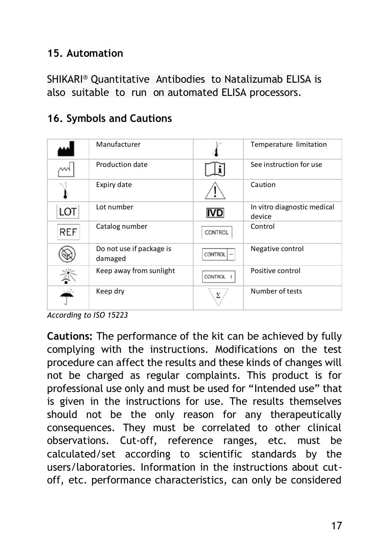#### **15. Automation**

SHIKARI® Quantitative Antibodies to Natalizumab ELISA is also suitable to run on automated ELISA processors.

|            | Manufacturer                        |                | Temperature limitation                |
|------------|-------------------------------------|----------------|---------------------------------------|
|            | Production date                     |                | See instruction for use               |
|            | Expiry date                         |                | Caution                               |
| LOT        | Lot number                          | IVD            | In vitro diagnostic medical<br>device |
| <b>REF</b> | Catalog number                      | CONTROL        | Control                               |
|            | Do not use if package is<br>damaged | <b>CONTROL</b> | Negative control                      |
|            | Keep away from sunlight             | <b>CONTROL</b> | Positive control                      |
|            | Keep dry                            | Σ              | Number of tests                       |

# **16. Symbols and Cautions**

*According to ISO 15223* 

**Cautions:** The performance of the kit can be achieved by fully complying with the instructions. Modifications on the test procedure can affect the results and these kinds of changes will not be charged as regular complaints. This product is for professional use only and must be used for "Intended use" that is given in the instructions for use. The results themselves should not be the only reason for any therapeutically consequences. They must be correlated to other clinical observations. Cut-off, reference ranges, etc. must be calculated/set according to scientific standards by the users/laboratories. Information in the instructions about cutoff, etc. performance characteristics, can only be considered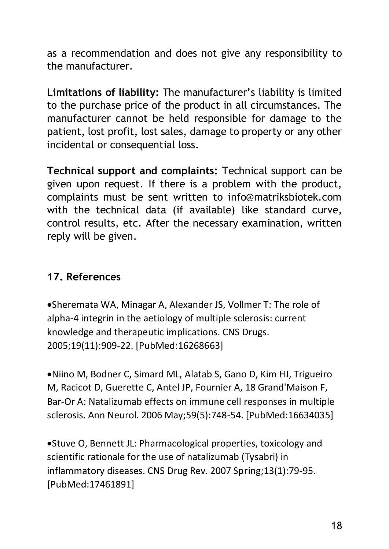as a recommendation and does not give any responsibility to the manufacturer.

**Limitations of liability:** The manufacturer's liability is limited to the purchase price of the product in all circumstances. The manufacturer cannot be held responsible for damage to the patient, lost profit, lost sales, damage to property or any other incidental or consequential loss.

**Technical support and complaints:** Technical support can be given upon request. If there is a problem with the product, complaints must be sent written to info@matriksbiotek.com with the technical data (if available) like standard curve, control results, etc. After the necessary examination, written reply will be given.

#### **17. References**

•Sheremata WA, Minagar A, Alexander JS, Vollmer T: The role of alpha-4 integrin in the aetiology of multiple sclerosis: current knowledge and therapeutic implications. CNS Drugs. 2005;19(11):909-22. [PubMed:16268663]

•Niino M, Bodner C, Simard ML, Alatab S, Gano D, Kim HJ, Trigueiro M, Racicot D, Guerette C, Antel JP, Fournier A, 18 Grand'Maison F, Bar-Or A: Natalizumab effects on immune cell responses in multiple sclerosis. Ann Neurol. 2006 May;59(5):748-54. [PubMed:16634035]

•Stuve O, Bennett JL: Pharmacological properties, toxicology and scientific rationale for the use of natalizumab (Tysabri) in inflammatory diseases. CNS Drug Rev. 2007 Spring;13(1):79-95. [PubMed:17461891]